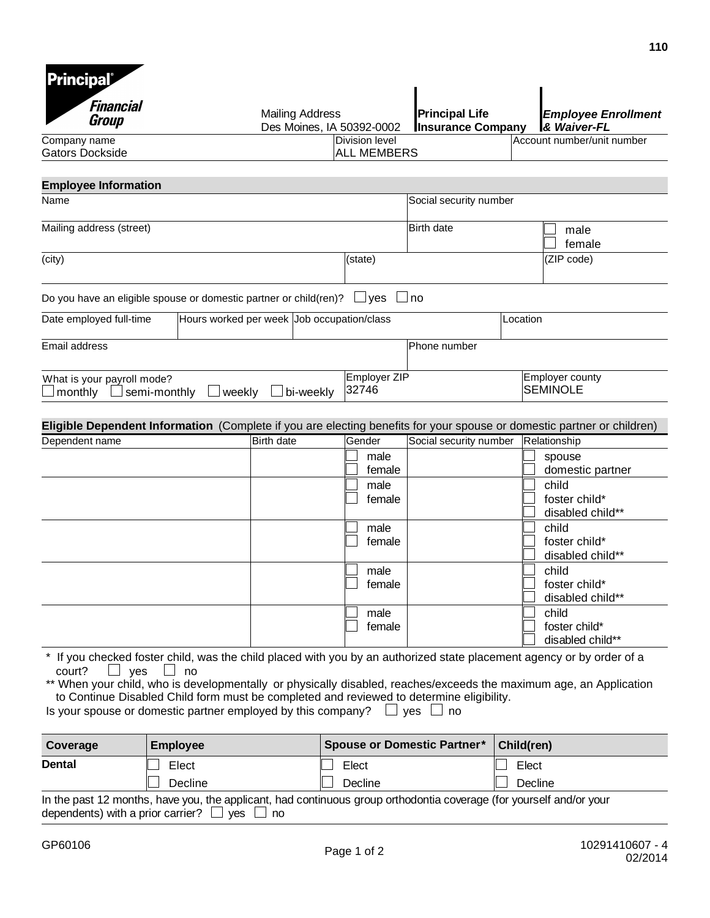| Financial<br>Group                                                                                                                                                                                  |                                                                                                                                                                                                                       | <b>Mailing Address</b><br>Des Moines, IA 50392-0002 |                       | <b>Principal Life</b><br><b>Insurance Company</b> |                                    | <b>Employee Enrollment</b><br><b>&amp; Waiver-FL</b> |
|-----------------------------------------------------------------------------------------------------------------------------------------------------------------------------------------------------|-----------------------------------------------------------------------------------------------------------------------------------------------------------------------------------------------------------------------|-----------------------------------------------------|-----------------------|---------------------------------------------------|------------------------------------|------------------------------------------------------|
| Company name                                                                                                                                                                                        |                                                                                                                                                                                                                       |                                                     | Division level        |                                                   |                                    | Account number/unit number                           |
| <b>Gators Dockside</b>                                                                                                                                                                              |                                                                                                                                                                                                                       |                                                     | <b>ALL MEMBERS</b>    |                                                   |                                    |                                                      |
| <b>Employee Information</b>                                                                                                                                                                         |                                                                                                                                                                                                                       |                                                     |                       |                                                   |                                    |                                                      |
| Name                                                                                                                                                                                                |                                                                                                                                                                                                                       |                                                     |                       | Social security number                            |                                    |                                                      |
|                                                                                                                                                                                                     |                                                                                                                                                                                                                       |                                                     |                       |                                                   |                                    |                                                      |
| Mailing address (street)                                                                                                                                                                            |                                                                                                                                                                                                                       |                                                     |                       | <b>Birth date</b>                                 |                                    | male<br>female                                       |
| (city)                                                                                                                                                                                              |                                                                                                                                                                                                                       |                                                     | (state)               |                                                   |                                    | (ZIP code)                                           |
|                                                                                                                                                                                                     |                                                                                                                                                                                                                       |                                                     |                       |                                                   |                                    |                                                      |
| Do you have an eligible spouse or domestic partner or child(ren)?                                                                                                                                   |                                                                                                                                                                                                                       |                                                     | $\lrcorner$ yes       | no                                                |                                    |                                                      |
| Date employed full-time                                                                                                                                                                             |                                                                                                                                                                                                                       | Hours worked per week Job occupation/class          |                       |                                                   | Location                           |                                                      |
|                                                                                                                                                                                                     |                                                                                                                                                                                                                       |                                                     |                       |                                                   |                                    |                                                      |
| Email address                                                                                                                                                                                       |                                                                                                                                                                                                                       |                                                     |                       | Phone number                                      |                                    |                                                      |
| What is your payroll mode?<br>monthly                                                                                                                                                               | semi-monthly<br>weekly                                                                                                                                                                                                | bi-weekly                                           | Employer ZIP<br>32746 |                                                   | Employer county<br><b>SEMINOLE</b> |                                                      |
| Eligible Dependent Information (Complete if you are electing benefits for your spouse or domestic partner or children)                                                                              |                                                                                                                                                                                                                       |                                                     |                       |                                                   |                                    |                                                      |
| Dependent name                                                                                                                                                                                      |                                                                                                                                                                                                                       | Birth date                                          | Gender                | Social security number                            | Relationship                       |                                                      |
|                                                                                                                                                                                                     |                                                                                                                                                                                                                       |                                                     | male<br>female        |                                                   |                                    | spouse<br>domestic partner                           |
|                                                                                                                                                                                                     |                                                                                                                                                                                                                       |                                                     | male                  |                                                   | child                              |                                                      |
|                                                                                                                                                                                                     |                                                                                                                                                                                                                       |                                                     | female                |                                                   |                                    | foster child*                                        |
|                                                                                                                                                                                                     |                                                                                                                                                                                                                       |                                                     |                       |                                                   |                                    | disabled child**                                     |
|                                                                                                                                                                                                     |                                                                                                                                                                                                                       |                                                     | male                  |                                                   | child                              |                                                      |
|                                                                                                                                                                                                     |                                                                                                                                                                                                                       |                                                     | female                |                                                   |                                    | foster child*<br>disabled child**                    |
|                                                                                                                                                                                                     |                                                                                                                                                                                                                       |                                                     | male                  |                                                   | child                              |                                                      |
|                                                                                                                                                                                                     |                                                                                                                                                                                                                       |                                                     | female                |                                                   |                                    | foster child*                                        |
|                                                                                                                                                                                                     |                                                                                                                                                                                                                       |                                                     |                       |                                                   |                                    | disabled child**                                     |
|                                                                                                                                                                                                     |                                                                                                                                                                                                                       |                                                     | male                  |                                                   | child                              |                                                      |
|                                                                                                                                                                                                     |                                                                                                                                                                                                                       |                                                     | female                |                                                   |                                    | foster child*<br>disabled child**                    |
| court?<br>yes<br>** When your child, who is developmentally or physically disabled, reaches/exceeds the maximum age, an Application<br>Is your spouse or domestic partner employed by this company? | If you checked foster child, was the child placed with you by an authorized state placement agency or by order of a<br>no<br>to Continue Disabled Child form must be completed and reviewed to determine eligibility. |                                                     |                       | yes<br>no                                         |                                    |                                                      |
| Coverage                                                                                                                                                                                            | <b>Employee</b>                                                                                                                                                                                                       |                                                     |                       | <b>Spouse or Domestic Partner*</b>                | Child(ren)                         |                                                      |

| Decline                                                                                                             | Decline | Decline |  |  |
|---------------------------------------------------------------------------------------------------------------------|---------|---------|--|--|
| In the past 12 months, have you, the applicant, had continuous group orthodontia coverage (for yourself and/or your |         |         |  |  |
| dependents) with a prior carrier? $\Box$ yes $\Box$ no                                                              |         |         |  |  |

**Dental** Elect Elect Elect Elect Elect Elect

**110**